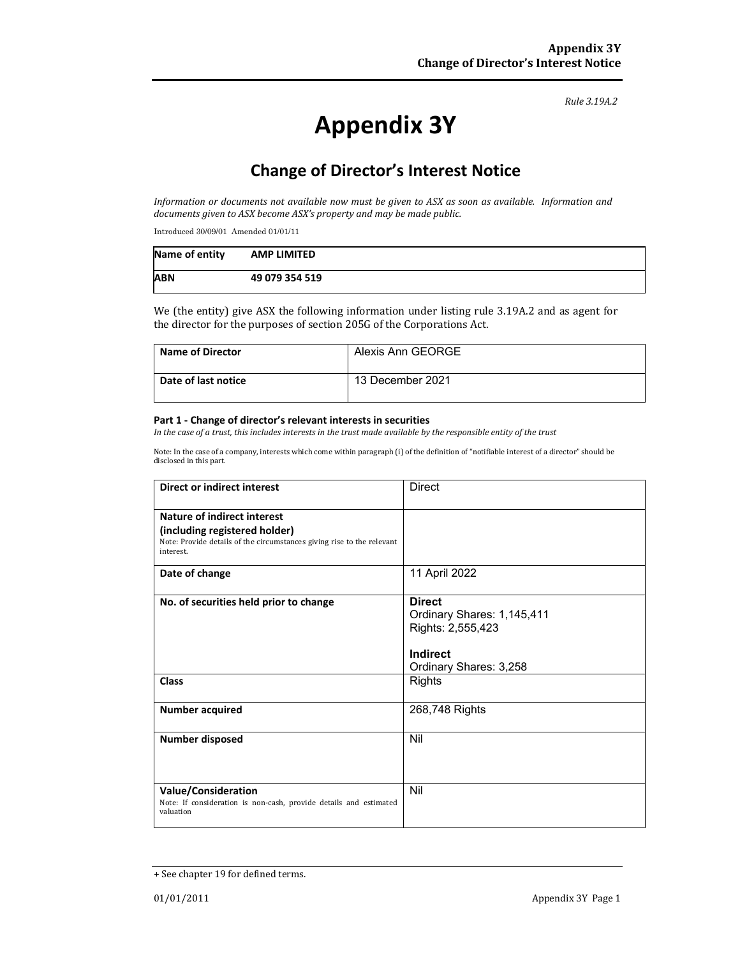*Rule 3.19A.2*

# **Appendix 3Y**

## **Change of Director's Interest Notice**

Information or documents not available now must be given to ASX as soon as available. Information and *documents given to ASX become ASX's property and may be made public.*

Introduced 30/09/01 Amended 01/01/11

| Name of entity | <b>AMP LIMITED</b> |
|----------------|--------------------|
| <b>ABN</b>     | 49 079 354 519     |

We (the entity) give ASX the following information under listing rule 3.19A.2 and as agent for the director for the purposes of section 205G of the Corporations Act.

| <b>Name of Director</b> | Alexis Ann GEORGE |
|-------------------------|-------------------|
| Date of last notice     | 13 December 2021  |

#### **Part 1 ‐ Change of director's relevant interests in securities**

In the case of a trust, this includes interests in the trust made available by the responsible entity of the trust

Note: In the case of a company, interests which come within paragraph (i) of the definition of "notifiable interest of a director" should be disclosed in this part.

| <b>Direct or indirect interest</b>                                                                                                                  | <b>Direct</b>                                                                                          |  |
|-----------------------------------------------------------------------------------------------------------------------------------------------------|--------------------------------------------------------------------------------------------------------|--|
| Nature of indirect interest<br>(including registered holder)<br>Note: Provide details of the circumstances giving rise to the relevant<br>interest. |                                                                                                        |  |
| Date of change                                                                                                                                      | 11 April 2022                                                                                          |  |
| No. of securities held prior to change                                                                                                              | <b>Direct</b><br>Ordinary Shares: 1,145,411<br>Rights: 2,555,423<br>Indirect<br>Ordinary Shares: 3,258 |  |
| <b>Class</b>                                                                                                                                        | <b>Rights</b>                                                                                          |  |
| <b>Number acquired</b>                                                                                                                              | 268,748 Rights                                                                                         |  |
| <b>Number disposed</b>                                                                                                                              | Nil                                                                                                    |  |
| <b>Value/Consideration</b><br>Note: If consideration is non-cash, provide details and estimated<br>valuation                                        | Nil                                                                                                    |  |

<sup>+</sup> See chapter 19 for defined terms.